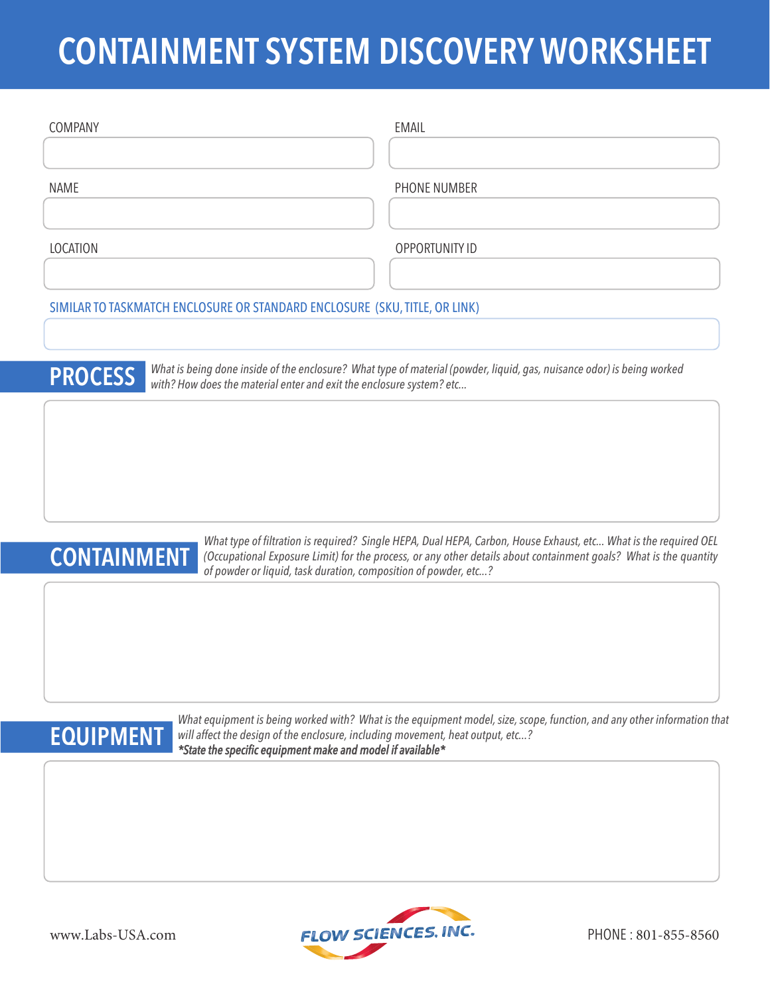# **CONTAINMENT SYSTEM DISCOVERY WORKSHEET**

| <b>COMPANY</b>                                                                                                                                                                                                   | <b>EMAIL</b>          |
|------------------------------------------------------------------------------------------------------------------------------------------------------------------------------------------------------------------|-----------------------|
|                                                                                                                                                                                                                  |                       |
| <b>NAME</b>                                                                                                                                                                                                      | PHONE NUMBER          |
|                                                                                                                                                                                                                  |                       |
| LOCATION                                                                                                                                                                                                         | <b>OPPORTUNITY ID</b> |
|                                                                                                                                                                                                                  |                       |
| SIMILAR TO TASKMATCH ENCLOSURE OR STANDARD ENCLOSURE (SKU, TITLE, OR LINK)                                                                                                                                       |                       |
|                                                                                                                                                                                                                  |                       |
| What is being done inside of the enclosure? What type of material (powder, liquid, gas, nuisance odor) is being worked<br><b>PROCESS</b><br>with? How does the material enter and exit the enclosure system? etc |                       |
|                                                                                                                                                                                                                  |                       |



*What type of filtration is required? Single HEPA, Dual HEPA, Carbon, House Exhaust, etc... What is the required OEL* **CONTAINMENT** (Occupational Exposure Limit) for the process, or any other details about containment goals? What is the quantity of powder or liquid, task duration, composition of powder, etc...?

*What equipment is being worked with? What is the equipment model, size, scope, function, and any other information that* will affect the design of the enclosure, including movement, heat output, etc...? **EQUIPMENT** will affect the design of the enclosure, including movement,<br>
\*State the specific equipment make and model if available \*